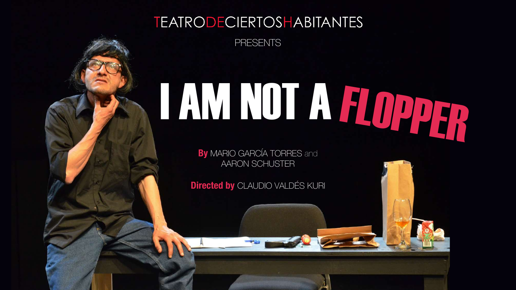## **TEATRODECIERTOSHABITANTES**

PRESENTS

# I AM NOT A FLOPPER

**By** MARIO GARCÍA TORRES and AARON SCHUSTER

**Directed by** CLAUDIO VALDÉS KURI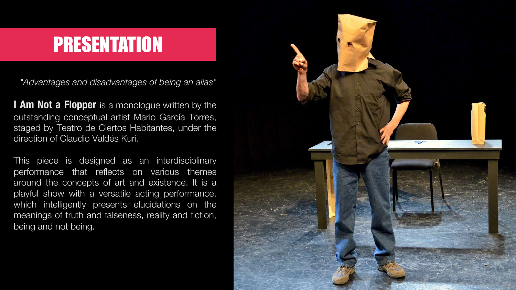## PRESENTATION

*"Advantages and disadvantages of being an alias"*

**I Am Not a Flopper** is a monologue written by the outstanding conceptual artist Mario García Torres, staged by Teatro de Ciertos Habitantes, under the direction of Claudio Valdés Kuri.

This piece is designed as an interdisciplinary performance that reflects on various themes around the concepts of art and existence. It is a playful show with a versatile acting performance, which intelligently presents elucidations on the meanings of truth and falseness, reality and fiction, being and not being.

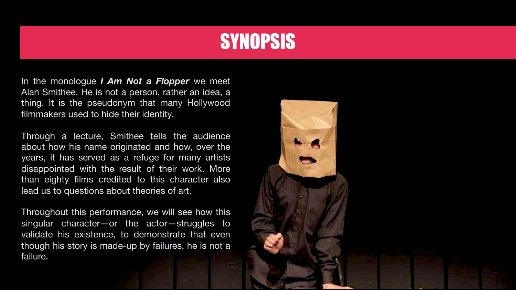# **SYNOPSIS**

In the monologue *I Am Not a Flopper* we meet Alan Smithee. He is not a person, rather an idea, a thing. It is the pseudonym that many Hollywood filmmakers used to hide their identity.

Through a lecture, Smithee tells the audience about how his name originated and how, over the years, it has served as a refuge for many artists disappointed with the result of their work. More than eighty films credited to this character also lead us to questions about theories of art.

Throughout this performance, we will see how this singular character—or the actor—struggles to validate his existence, to demonstrate that even though his story is made-up by failures, he is not a failure.

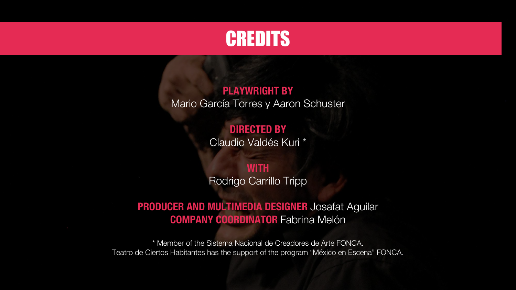## **CREDITS**

#### **PLAYWRIGHT BY** Mario García Torres y Aaron Schuster

## **DIRECTED BY**

Claudio Valdés Kuri \*

#### **WITH**

Rodrigo Carrillo Tripp

#### **PRODUCER AND MULTIMEDIA DESIGNER** Josafat Aguilar **COMPANY COORDINATOR** Fabrina Melón

\* Member of the Sistema Nacional de Creadores de Arte FONCA. Teatro de Ciertos Habitantes has the support of the program "México en Escena" FONCA.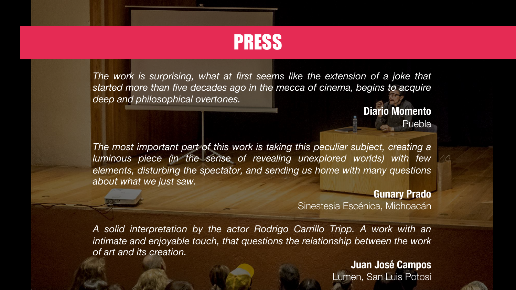

*The work is surprising, what at first seems like the extension of a joke that started more than five decades ago in the mecca of cinema, begins to acquire deep and philosophical overtones.*

> **Diario Momento Puebla**

*The most important part of this work is taking this peculiar subject, creating a luminous piece (in the sense of revealing unexplored worlds) with few elements, disturbing the spectator, and sending us home with many questions about what we just saw.*

#### **Gunary Prado**

Sinestesia Escénica, Michoacán

*A solid interpretation by the actor Rodrigo Carrillo Tripp. A work with an intimate and enjoyable touch, that questions the relationship between the work of art and its creation.*

> **Juan José Campos** Lumen, San Luis Potosí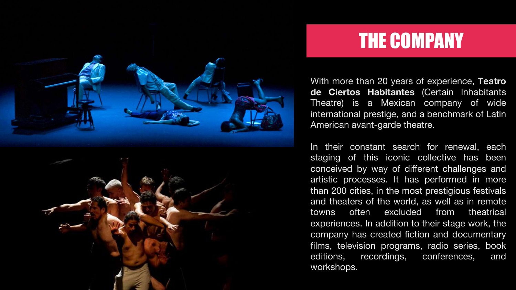

# THE COMPANY

With more than 20 years of experience, **Teatro de Ciertos Habitantes** (Certain Inhabitants Theatre) is a Mexican company of wide international prestige, and a benchmark of Latin American avant-garde theatre.

In their constant search for renewal, each staging of this iconic collective has been conceived by way of different challenges and artistic processes. It has performed in more than 200 cities, in the most prestigious festivals and theaters of the world, as well as in remote towns often excluded from theatrical experiences. In addition to their stage work, the company has created fiction and documentary films, television programs, radio series, book editions, recordings, conferences, and workshops.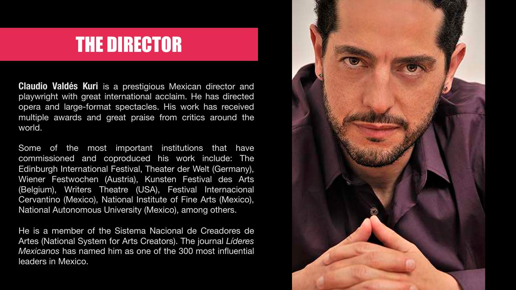## THE DIRECTOR

**Claudio Valdés Kuri** is a prestigious Mexican director and playwright with great international acclaim. He has directed opera and large-format spectacles. His work has received multiple awards and great praise from critics around the world.

Some of the most important institutions that have commissioned and coproduced his work include: The Edinburgh International Festival, Theater der Welt (Germany), Wiener Festwochen (Austria), Kunsten Festival des Arts (Belgium), Writers Theatre (USA), Festival Internacional Cervantino (Mexico), National Institute of Fine Arts (Mexico), National Autonomous University (Mexico), among others.

He is a member of the Sistema Nacional de Creadores de Artes (National System for Arts Creators). The journal *Líderes Mexicanos* has named him as one of the 300 most influential leaders in Mexico.